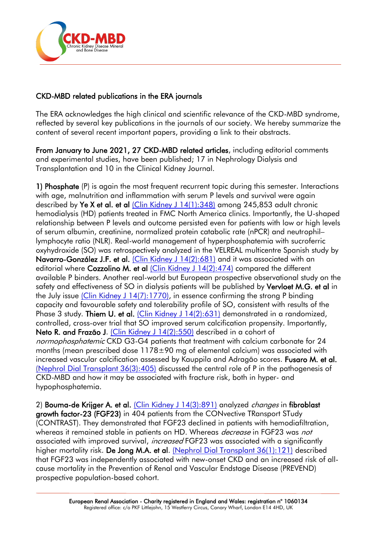

## CKD-MBD related publications in the ERA journals

The ERA acknowledges the high clinical and scientific relevance of the CKD-MBD syndrome, reflected by several key publications in the journals of our society. We hereby summarize the content of several recent important papers, providing a link to their abstracts.

From January to June 2021, 27 CKD-MBD related articles, including editorial comments and experimental studies, have been published; 17 in Nephrology Dialysis and Transplantation and 10 in the Clinical Kidney Journal.

1) Phosphate (P) is again the most frequent recurrent topic during this semester. Interactions with age, malnutrition and inflammation with serum P levels and survival were again described by Ye X et al. et al [\(Clin Kidney J 14\(1\):348\)](https://academic.oup.com/ckj/article/14/1/348/5658539?login=true) among 245,853 adult chronic hemodialysis (HD) patients treated in FMC North America clinics. Importantly, the U-shaped relationship between P levels and outcome persisted even for patients with low or high levels of serum albumin, creatinine, normalized protein catabolic rate (nPCR) and neutrophil– lymphocyte ratio (NLR). Real-world management of hyperphosphatemia with sucroferric oxyhydroxide (SO) was retrospectively analyzed in the VELREAL multicentre Spanish study by Navarro-González J.F. et al. [\(Clin Kidney J 14\(2\):681\)](https://academic.oup.com/ckj/article/14/2/681/6125308) and it was associated with an editorial where Cozzolino M. et al [\(Clin Kidney J 14\(2\):474\)](https://academic.oup.com/ckj/article/14/2/474/6039102) compared the different available P binders. Another real-world but European prospective observational study on the safety and effectiveness of SO in dialysis patients will be published by Vervloet M.G. et al in the July issue [\(Clin Kidney J 14\(7\):1770\),](https://academic.oup.com/ckj/article/14/7/1770/6131576) in essence confirming the strong P binding capacity and favourable safety and tolerability profile of SO, consistent with results of the Phase 3 study. Thiem U. et al. [\(Clin Kidney J 14\(2\):631\)](https://academic.oup.com/ckj/article/14/2/631/5941757) demonstrated in a randomized, controlled, cross-over trial that SO improved serum calcification propensity. Importantly, Neto R. and Frazão J. [\(Clin Kidney J 14\(2\):550\)](https://academic.oup.com/ckj/article/14/2/550/5684868) described in a cohort of normophosphatemic CKD G3-G4 patients that treatment with calcium carbonate for 24 months (mean prescribed dose  $1178\pm90$  ma of elemental calcium) was associated with increased vascular calcification assessed by Kauppila and Adragão scores. Fusaro M. et al. [\(Nephrol Dial Transplant 36\(3\):405\)](https://academic.oup.com/ndt/article-abstract/36/3/405/5588742?redirectedFrom=fulltext) discussed the central role of P in the pathogenesis of CKD-MBD and how it may be associated with fracture risk, both in hyper- and hypophosphatemia.

2) Bouma-de Krijger A. et al. [\(Clin Kidney J 14\(3\):891\)](https://academic.oup.com/ckj/article/14/3/891/5814329) analyzed *changes* in fibroblast growth factor-23 (FGF23) in 404 patients from the CONvective TRansport STudy (CONTRAST). They demonstrated that FGF23 declined in patients with hemodiafiltration, whereas it remained stable in patients on HD. Whereas *decrease* in FGF23 was *not* associated with improved survival, *increased* FGF23 was associated with a significantly higher mortality risk. De Jong M.A. et al. [\(Nephrol Dial Transplant 36\(1\):121\)](https://academic.oup.com/ndt/article/36/1/121/5741330) described that FGF23 was independently associated with new-onset CKD and an increased risk of allcause mortality in the Prevention of Renal and Vascular Endstage Disease (PREVEND) prospective population-based cohort.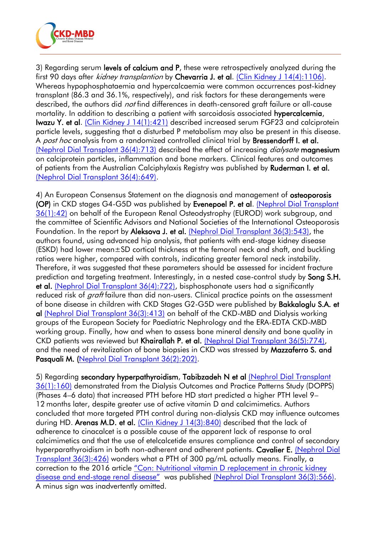

3) Regarding serum levels of calcium and P, these were retrospectively analyzed during the first 90 days after *kidney transplantion* by Chevarria J. et al. [\(Clin Kidney J 14\(4\):1106\).](https://academic.oup.com/ckj/article/14/4/1106/5842236) Whereas hypophosphataemia and hypercalcaemia were common occurrences post-kidney transplant (86.3 and 36.1%, respectively), and risk factors for these derangements were described, the authors did *not* find differences in death-censored graft failure or all-cause mortality. In addition to describing a patient with sarcoidosis associated hypercalcemia, Iwazu Y. et al. [\(Clin Kidney J 14\(1\):421\)](https://academic.oup.com/ckj/article/14/1/421/5543531) described increased serum FGF23 and calciprotein particle levels, suggesting that a disturbed P metabolism may also be present in this disease. A post hoc analysis from a randomized controlled clinical trial by **Bressendorff I. et al.** [\(Nephrol Dial Transplant 36\(4\):713\)](https://academic.oup.com/ndt/article-abstract/36/4/713/5640484?redirectedFrom=fulltext) described the effect of increasing *dialysate* magnesium on calciprotein particles, inflammation and bone markers. Clinical features and outcomes of patients from the Australian Calciphylaxis Registry was published by Ruderman I. et al. [\(Nephrol Dial Transplant 36\(4\):649\).](https://academic.oup.com/ndt/article-abstract/36/4/649/5681451?redirectedFrom=fulltext)

4) An European Consensus Statement on the diagnosis and management of osteoporosis (OP) in CKD stages G4-G5D was published by Evenepoel P. et al. [\(Nephrol Dial Transplant](https://academic.oup.com/ndt/article/36/1/42/5938134)  [36\(1\):42\)](https://academic.oup.com/ndt/article/36/1/42/5938134) on behalf of the European Renal Osteodystrophy (EUROD) work subgroup, and the committee of Scientific Advisors and National Societies of the International Osteoporosis Foundation. In the report by Aleksova J. et al. [\(Nephrol Dial Transplant 36\(3\):543\),](https://academic.oup.com/ndt/article-abstract/36/3/543/5614386?redirectedFrom=fulltext) the authors found, using advanced hip analysis, that patients with end-stage kidney disease (ESKD) had lower mean±SD cortical thickness at the femoral neck and shaft, and buckling ratios were higher, compared with controls, indicating greater femoral neck instability. Therefore, it was suggested that these parameters should be assessed for incident fracture prediction and targeting treatment. Interestingly, in a nested case-control study by Song S.H. et al. [\(Nephrol Dial Transplant 36\(4\):722\),](https://academic.oup.com/ndt/article-abstract/36/4/722/6047010?redirectedFrom=fulltext) bisphosphonate users had a significantly reduced risk of *graft* failure than did non-users. Clinical practice points on the assessment of bone disease in children with CKD Stages G2-G5D were published by Bakkaloglu S.A. et al [\(Nephrol Dial Transplant 36\(3\):413\)](https://academic.oup.com/ndt/article-abstract/36/3/413/5948936?redirectedFrom=fulltext) on behalf of the CKD-MBD and Dialysis working groups of the European Society for Paediatric Nephrology and the ERA-EDTA CKD-MBD working group. Finally, how and when to assess bone mineral density and bone quality in CKD patients was reviewed but Khairallah P. et al. [\(Nephrol Dial Transplant 36\(5\):774\),](https://academic.oup.com/ndt/article-abstract/36/5/774/5609143?redirectedFrom=fulltext) and the need of revitalization of bone biopsies in CKD was stressed by Mazzaferro S. and Pasquali M. [\(Nephrol Dial Transplant 36\(2\):202\).](https://academic.oup.com/ndt/article-abstract/36/2/202/5981972?redirectedFrom=fulltext)

5) Regarding secondary hyperpathyroidism, Tabibzadeh N et al (Nephrol Dial Transplant [36\(1\):160\)](https://academic.oup.com/ndt/article/36/1/160/5929333) demonstrated from the Dialysis Outcomes and Practice Patterns Study (DOPPS) (Phases 4–6 data) that increased PTH before HD start predicted a higher PTH level 9– 12 months later, despite greater use of active vitamin D and calcimimetics. Authors concluded that more targeted PTH control during non-dialysis CKD may influence outcomes during HD. Arenas M.D. et al. [\(Clin Kidney J 14\(3\):840\)](https://academic.oup.com/ckj/article/14/3/840/5734680) described that the lack of adherence to cinacalcet is a possible cause of the apparent lack of response to oral calcimimetics and that the use of etelcalcetide ensures compliance and control of secondary hyperparathyroidism in both non-adherent and adherent patients. Cavalier E. (Nephrol Dial [Transplant 36\(3\):426\)](https://academic.oup.com/ndt/article-abstract/36/3/426/5570308?redirectedFrom=fulltext) wonders what a PTH of 300 pg/mL actually means. Finally, a correction to the 2016 article ["Con: Nutritional vitamin D replacement in chronic kidney](https://academic.oup.com/ndt/article/31/5/706/1752246)  disease and end-[stage renal disease"](https://academic.oup.com/ndt/article/31/5/706/1752246) was published [\(Nephrol Dial Transplant 36\(3\):566\).](https://academic.oup.com/ndt/article/36/3/566/5899888) A minus sign was inadvertently omitted.